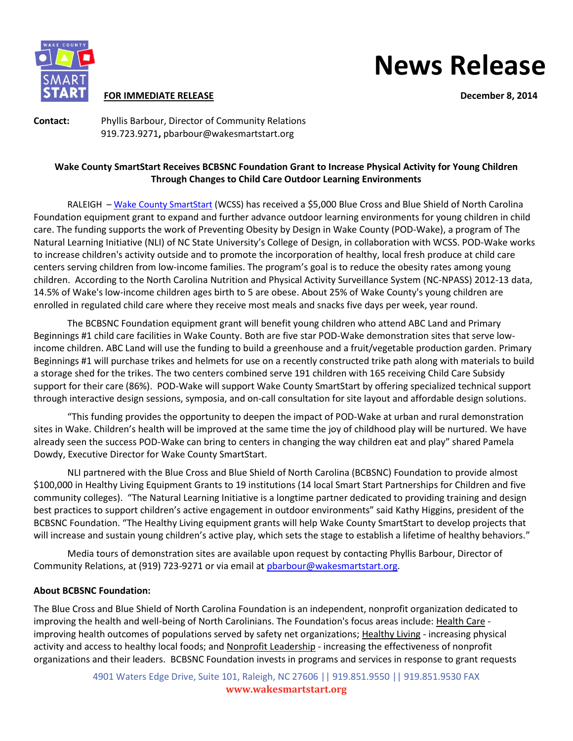

#### **FOR IMMEDIATE RELEASE December 8, 2014**

# **News Release**

**Contact:** Phyllis Barbour, Director of Community Relations 919.723.9271**,** pbarbour@wakesmartstart.org

## **Wake County SmartStart Receives BCBSNC Foundation Grant to Increase Physical Activity for Young Children Through Changes to Child Care Outdoor Learning Environments**

RALEIGH – [Wake County SmartStart](http://www.wakesmartstart.org/) (WCSS) has received a \$5,000 Blue Cross and Blue Shield of North Carolina Foundation equipment grant to expand and further advance outdoor learning environments for young children in child care. The funding supports the work of Preventing Obesity by Design in Wake County (POD-Wake), a program of The Natural Learning Initiative (NLI) of NC State University's College of Design, in collaboration with WCSS. POD-Wake works to increase children's activity outside and to promote the incorporation of healthy, local fresh produce at child care centers serving children from low-income families. The program's goal is to reduce the obesity rates among young children. According to the North Carolina Nutrition and Physical Activity Surveillance System (NC-NPASS) 2012-13 data, 14.5% of Wake's low-income children ages birth to 5 are obese. About 25% of Wake County's young children are enrolled in regulated child care where they receive most meals and snacks five days per week, year round.

The BCBSNC Foundation equipment grant will benefit young children who attend ABC Land and Primary Beginnings #1 child care facilities in Wake County. Both are five star POD-Wake demonstration sites that serve lowincome children. ABC Land will use the funding to build a greenhouse and a fruit/vegetable production garden. Primary Beginnings #1 will purchase trikes and helmets for use on a recently constructed trike path along with materials to build a storage shed for the trikes. The two centers combined serve 191 children with 165 receiving Child Care Subsidy support for their care (86%). POD-Wake will support Wake County SmartStart by offering specialized technical support through interactive design sessions, symposia, and on-call consultation for site layout and affordable design solutions.

"This funding provides the opportunity to deepen the impact of POD-Wake at urban and rural demonstration sites in Wake. Children's health will be improved at the same time the joy of childhood play will be nurtured. We have already seen the success POD-Wake can bring to centers in changing the way children eat and play" shared Pamela Dowdy, Executive Director for Wake County SmartStart.

NLI partnered with the Blue Cross and Blue Shield of North Carolina (BCBSNC) Foundation to provide almost \$100,000 in Healthy Living Equipment Grants to 19 institutions (14 local Smart Start Partnerships for Children and five community colleges). "The Natural Learning Initiative is a longtime partner dedicated to providing training and design best practices to support children's active engagement in outdoor environments" said Kathy Higgins, president of the BCBSNC Foundation. "The Healthy Living equipment grants will help Wake County SmartStart to develop projects that will increase and sustain young children's active play, which sets the stage to establish a lifetime of healthy behaviors."

Media tours of demonstration sites are available upon request by contacting Phyllis Barbour, Director of Community Relations, at (919) 723-9271 or via email at pharbour@wakesmartstart.org.

### **About BCBSNC Foundation:**

The Blue Cross and Blue Shield of North Carolina Foundation is an independent, nonprofit organization dedicated to improving the health and well-being of North Carolinians. The Foundation's focus areas include: [Health Care](http://www.bcbsncfoundation.org/health-of-vulnerable-populations/) improving health outcomes of populations served by safety net organizations[; Healthy Living](http://www.bcbsncfoundation.org/healthy-active-communities/) - increasing physical activity and access to healthy local foods; and [Nonprofit Leadership](http://www.bcbsncfoundation.org/community-impact/) - increasing the effectiveness of nonprofit organizations and their leaders. BCBSNC Foundation invests in programs and services in response to grant requests